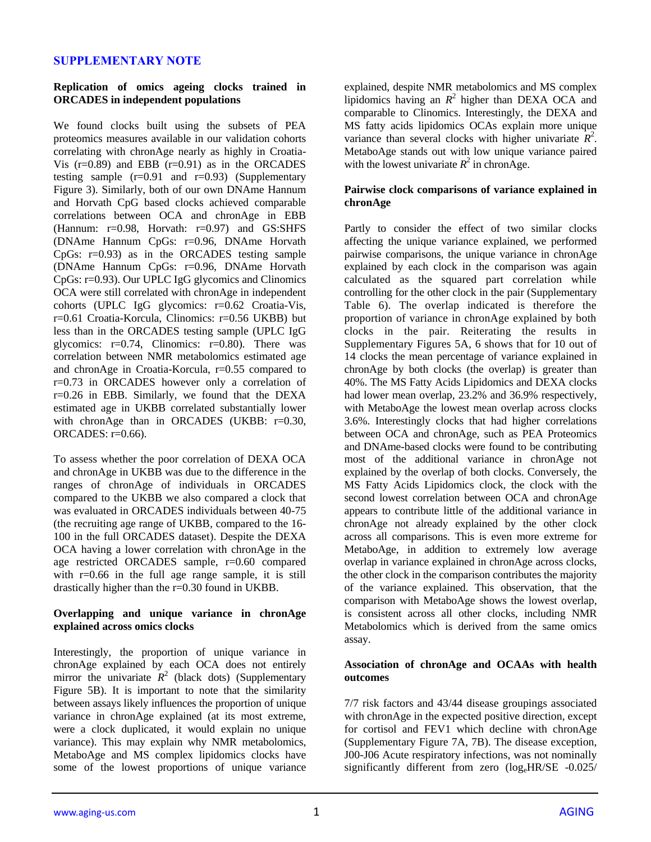# **SUPPLEMENTARY NOTE**

### **Replication of omics ageing clocks trained in ORCADES in independent populations**

We found clocks built using the subsets of PEA proteomics measures available in our validation cohorts correlating with chronAge nearly as highly in Croatia-Vis  $(r=0.89)$  and EBB  $(r=0.91)$  as in the ORCADES testing sample  $(r=0.91$  and  $r=0.93$ ) (Supplementary Figure 3). Similarly, both of our own DNAme Hannum and Horvath CpG based clocks achieved comparable correlations between OCA and chronAge in EBB (Hannum: r=0.98, Horvath: r=0.97) and GS:SHFS (DNAme Hannum CpGs: r=0.96, DNAme Horvath CpGs: r=0.93) as in the ORCADES testing sample (DNAme Hannum CpGs: r=0.96, DNAme Horvath CpGs: r=0.93). Our UPLC IgG glycomics and Clinomics OCA were still correlated with chronAge in independent cohorts (UPLC IgG glycomics: r=0.62 Croatia-Vis, r=0.61 Croatia-Korcula, Clinomics: r=0.56 UKBB) but less than in the ORCADES testing sample (UPLC IgG glycomics:  $r=0.74$ , Clinomics:  $r=0.80$ ). There was correlation between NMR metabolomics estimated age and chronAge in Croatia-Korcula, r=0.55 compared to r=0.73 in ORCADES however only a correlation of r=0.26 in EBB. Similarly, we found that the DEXA estimated age in UKBB correlated substantially lower with chronAge than in ORCADES (UKBB: r=0.30, ORCADES: r=0.66).

To assess whether the poor correlation of DEXA OCA and chronAge in UKBB was due to the difference in the ranges of chronAge of individuals in ORCADES compared to the UKBB we also compared a clock that was evaluated in ORCADES individuals between 40-75 (the recruiting age range of UKBB, compared to the 16- 100 in the full ORCADES dataset). Despite the DEXA OCA having a lower correlation with chronAge in the age restricted ORCADES sample, r=0.60 compared with r=0.66 in the full age range sample, it is still drastically higher than the r=0.30 found in UKBB.

### **Overlapping and unique variance in chronAge explained across omics clocks**

Interestingly, the proportion of unique variance in chronAge explained by each OCA does not entirely mirror the univariate  $R^2$  (black dots) (Supplementary Figure 5B). It is important to note that the similarity between assays likely influences the proportion of unique variance in chronAge explained (at its most extreme, were a clock duplicated, it would explain no unique variance). This may explain why NMR metabolomics, MetaboAge and MS complex lipidomics clocks have some of the lowest proportions of unique variance

explained, despite NMR metabolomics and MS complex lipidomics having an  $R^2$  higher than DEXA OCA and comparable to Clinomics. Interestingly, the DEXA and MS fatty acids lipidomics OCAs explain more unique variance than several clocks with higher univariate  $R^2$ . MetaboAge stands out with low unique variance paired with the lowest univariate  $R^2$  in chronAge.

# **Pairwise clock comparisons of variance explained in chronAge**

Partly to consider the effect of two similar clocks affecting the unique variance explained, we performed pairwise comparisons, the unique variance in chronAge explained by each clock in the comparison was again calculated as the squared part correlation while controlling for the other clock in the pair (Supplementary Table 6). The overlap indicated is therefore the proportion of variance in chronAge explained by both clocks in the pair. Reiterating the results in Supplementary Figures 5A, 6 shows that for 10 out of 14 clocks the mean percentage of variance explained in chronAge by both clocks (the overlap) is greater than 40%. The MS Fatty Acids Lipidomics and DEXA clocks had lower mean overlap, 23.2% and 36.9% respectively, with MetaboAge the lowest mean overlap across clocks 3.6%. Interestingly clocks that had higher correlations between OCA and chronAge, such as PEA Proteomics and DNAme-based clocks were found to be contributing most of the additional variance in chronAge not explained by the overlap of both clocks. Conversely, the MS Fatty Acids Lipidomics clock, the clock with the second lowest correlation between OCA and chronAge appears to contribute little of the additional variance in chronAge not already explained by the other clock across all comparisons. This is even more extreme for MetaboAge, in addition to extremely low average overlap in variance explained in chronAge across clocks, the other clock in the comparison contributes the majority of the variance explained. This observation, that the comparison with MetaboAge shows the lowest overlap, is consistent across all other clocks, including NMR Metabolomics which is derived from the same omics assay.

# **Association of chronAge and OCAAs with health outcomes**

7/7 risk factors and 43/44 disease groupings associated with chronAge in the expected positive direction, except for cortisol and FEV1 which decline with chronAge (Supplementary Figure 7A, 7B). The disease exception, J00-J06 Acute respiratory infections, was not nominally significantly different from zero  $(\log_{e}HR/SE - 0.025)$